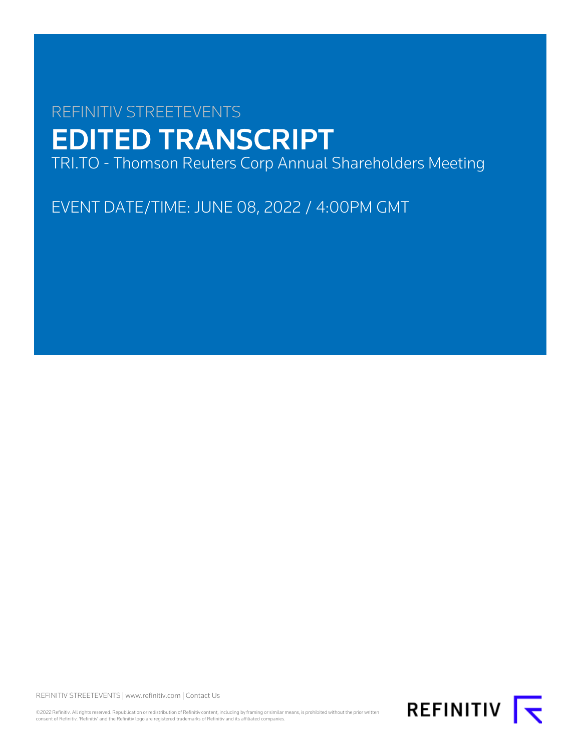# REFINITIV STREETEVENTS EDITED TRANSCRIPT

TRI.TO - Thomson Reuters Corp Annual Shareholders Meeting

EVENT DATE/TIME: JUNE 08, 2022 / 4:00PM GMT

REFINITIV STREETEVENTS | [www.refinitiv.com](https://www.refinitiv.com/) | [Contact Us](https://www.refinitiv.com/en/contact-us)

©2022 Refinitiv. All rights reserved. Republication or redistribution of Refinitiv content, including by framing or similar means, is prohibited without the prior written<br>consent of Refinitiv. 'Refinitiv' and the Refinitiv

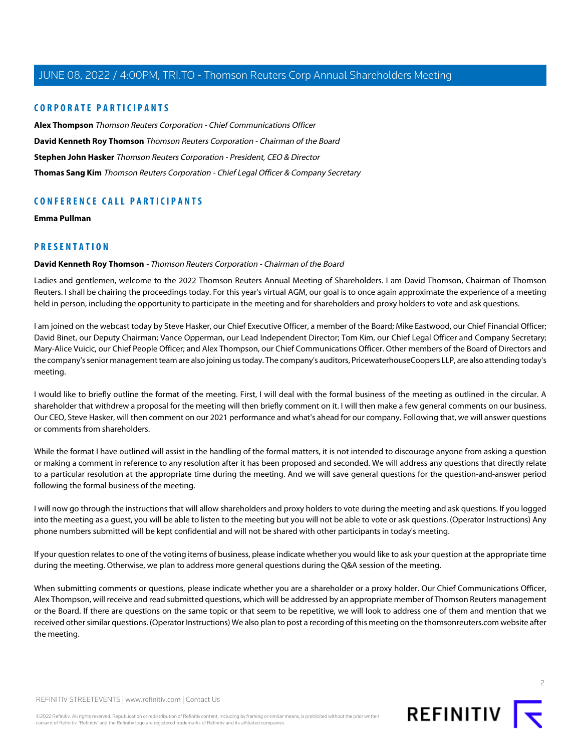# **CORPORATE PARTICIPANTS**

**[Alex Thompson](#page-3-0)** Thomson Reuters Corporation - Chief Communications Officer **[David Kenneth Roy Thomson](#page-1-0)** Thomson Reuters Corporation - Chairman of the Board **[Stephen John Hasker](#page-3-1)** Thomson Reuters Corporation - President, CEO & Director **[Thomas Sang Kim](#page-2-0)** Thomson Reuters Corporation - Chief Legal Officer & Company Secretary

# **CONFERENCE CALL PARTICIPANTS**

**[Emma Pullman](#page-5-0)**

# <span id="page-1-0"></span>**PRESENTATION**

## **David Kenneth Roy Thomson** - Thomson Reuters Corporation - Chairman of the Board

Ladies and gentlemen, welcome to the 2022 Thomson Reuters Annual Meeting of Shareholders. I am David Thomson, Chairman of Thomson Reuters. I shall be chairing the proceedings today. For this year's virtual AGM, our goal is to once again approximate the experience of a meeting held in person, including the opportunity to participate in the meeting and for shareholders and proxy holders to vote and ask questions.

I am joined on the webcast today by Steve Hasker, our Chief Executive Officer, a member of the Board; Mike Eastwood, our Chief Financial Officer; David Binet, our Deputy Chairman; Vance Opperman, our Lead Independent Director; Tom Kim, our Chief Legal Officer and Company Secretary; Mary-Alice Vuicic, our Chief People Officer; and Alex Thompson, our Chief Communications Officer. Other members of the Board of Directors and the company's senior management team are also joining us today. The company's auditors, PricewaterhouseCoopers LLP, are also attending today's meeting.

I would like to briefly outline the format of the meeting. First, I will deal with the formal business of the meeting as outlined in the circular. A shareholder that withdrew a proposal for the meeting will then briefly comment on it. I will then make a few general comments on our business. Our CEO, Steve Hasker, will then comment on our 2021 performance and what's ahead for our company. Following that, we will answer questions or comments from shareholders.

While the format I have outlined will assist in the handling of the formal matters, it is not intended to discourage anyone from asking a question or making a comment in reference to any resolution after it has been proposed and seconded. We will address any questions that directly relate to a particular resolution at the appropriate time during the meeting. And we will save general questions for the question-and-answer period following the formal business of the meeting.

I will now go through the instructions that will allow shareholders and proxy holders to vote during the meeting and ask questions. If you logged into the meeting as a guest, you will be able to listen to the meeting but you will not be able to vote or ask questions. (Operator Instructions) Any phone numbers submitted will be kept confidential and will not be shared with other participants in today's meeting.

If your question relates to one of the voting items of business, please indicate whether you would like to ask your question at the appropriate time during the meeting. Otherwise, we plan to address more general questions during the Q&A session of the meeting.

When submitting comments or questions, please indicate whether you are a shareholder or a proxy holder. Our Chief Communications Officer, Alex Thompson, will receive and read submitted questions, which will be addressed by an appropriate member of Thomson Reuters management or the Board. If there are questions on the same topic or that seem to be repetitive, we will look to address one of them and mention that we received other similar questions. (Operator Instructions) We also plan to post a recording of this meeting on the thomsonreuters.com website after the meeting.



 $\overline{2}$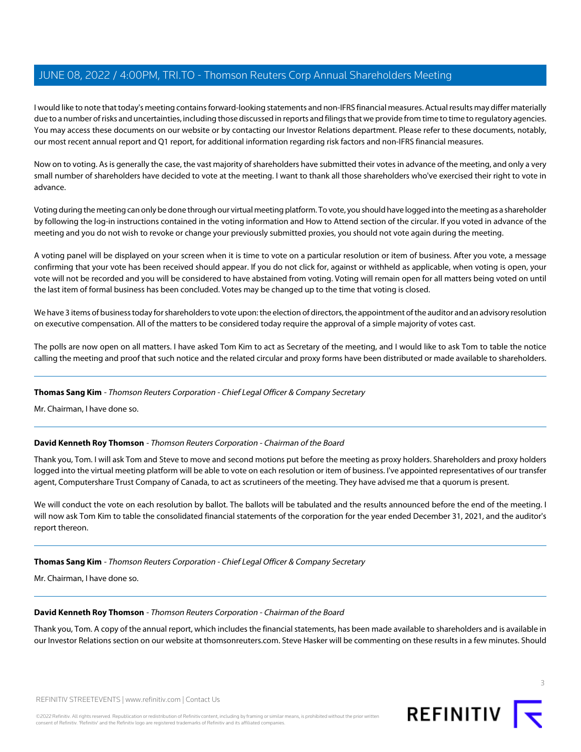I would like to note that today's meeting contains forward-looking statements and non-IFRS financial measures. Actual results may differ materially due to a number of risks and uncertainties, including those discussed in reports and filings that we provide from time to time to regulatory agencies. You may access these documents on our website or by contacting our Investor Relations department. Please refer to these documents, notably, our most recent annual report and Q1 report, for additional information regarding risk factors and non-IFRS financial measures.

Now on to voting. As is generally the case, the vast majority of shareholders have submitted their votes in advance of the meeting, and only a very small number of shareholders have decided to vote at the meeting. I want to thank all those shareholders who've exercised their right to vote in advance.

Voting during the meeting can only be done through our virtual meeting platform. To vote, you should have logged into the meeting as a shareholder by following the log-in instructions contained in the voting information and How to Attend section of the circular. If you voted in advance of the meeting and you do not wish to revoke or change your previously submitted proxies, you should not vote again during the meeting.

A voting panel will be displayed on your screen when it is time to vote on a particular resolution or item of business. After you vote, a message confirming that your vote has been received should appear. If you do not click for, against or withheld as applicable, when voting is open, your vote will not be recorded and you will be considered to have abstained from voting. Voting will remain open for all matters being voted on until the last item of formal business has been concluded. Votes may be changed up to the time that voting is closed.

We have 3 items of business today for shareholders to vote upon: the election of directors, the appointment of the auditor and an advisory resolution on executive compensation. All of the matters to be considered today require the approval of a simple majority of votes cast.

<span id="page-2-0"></span>The polls are now open on all matters. I have asked Tom Kim to act as Secretary of the meeting, and I would like to ask Tom to table the notice calling the meeting and proof that such notice and the related circular and proxy forms have been distributed or made available to shareholders.

# **Thomas Sang Kim** - Thomson Reuters Corporation - Chief Legal Officer & Company Secretary

Mr. Chairman, I have done so.

# **David Kenneth Roy Thomson** - Thomson Reuters Corporation - Chairman of the Board

Thank you, Tom. I will ask Tom and Steve to move and second motions put before the meeting as proxy holders. Shareholders and proxy holders logged into the virtual meeting platform will be able to vote on each resolution or item of business. I've appointed representatives of our transfer agent, Computershare Trust Company of Canada, to act as scrutineers of the meeting. They have advised me that a quorum is present.

We will conduct the vote on each resolution by ballot. The ballots will be tabulated and the results announced before the end of the meeting. I will now ask Tom Kim to table the consolidated financial statements of the corporation for the year ended December 31, 2021, and the auditor's report thereon.

# **Thomas Sang Kim** - Thomson Reuters Corporation - Chief Legal Officer & Company Secretary

Mr. Chairman, I have done so.

# **David Kenneth Roy Thomson** - Thomson Reuters Corporation - Chairman of the Board

Thank you, Tom. A copy of the annual report, which includes the financial statements, has been made available to shareholders and is available in our Investor Relations section on our website at thomsonreuters.com. Steve Hasker will be commenting on these results in a few minutes. Should

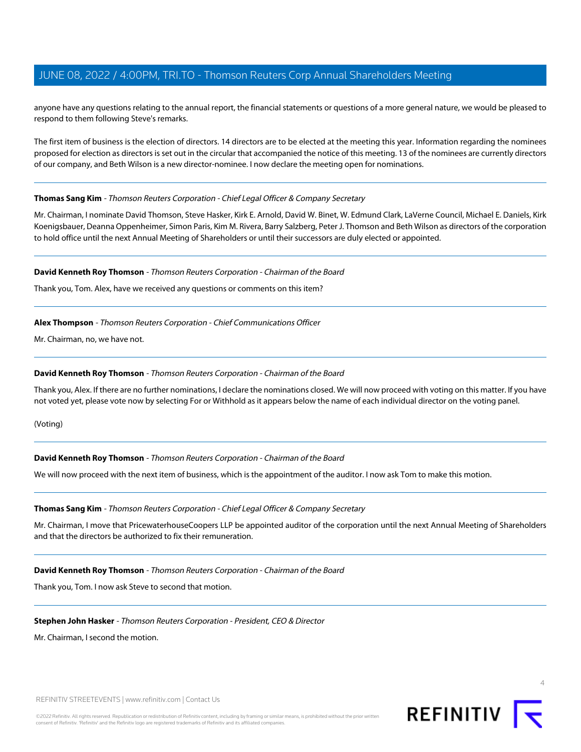anyone have any questions relating to the annual report, the financial statements or questions of a more general nature, we would be pleased to respond to them following Steve's remarks.

The first item of business is the election of directors. 14 directors are to be elected at the meeting this year. Information regarding the nominees proposed for election as directors is set out in the circular that accompanied the notice of this meeting. 13 of the nominees are currently directors of our company, and Beth Wilson is a new director-nominee. I now declare the meeting open for nominations.

# **Thomas Sang Kim** - Thomson Reuters Corporation - Chief Legal Officer & Company Secretary

Mr. Chairman, I nominate David Thomson, Steve Hasker, Kirk E. Arnold, David W. Binet, W. Edmund Clark, LaVerne Council, Michael E. Daniels, Kirk Koenigsbauer, Deanna Oppenheimer, Simon Paris, Kim M. Rivera, Barry Salzberg, Peter J. Thomson and Beth Wilson as directors of the corporation to hold office until the next Annual Meeting of Shareholders or until their successors are duly elected or appointed.

## **David Kenneth Roy Thomson** - Thomson Reuters Corporation - Chairman of the Board

<span id="page-3-0"></span>Thank you, Tom. Alex, have we received any questions or comments on this item?

## **Alex Thompson** - Thomson Reuters Corporation - Chief Communications Officer

Mr. Chairman, no, we have not.

## **David Kenneth Roy Thomson** - Thomson Reuters Corporation - Chairman of the Board

Thank you, Alex. If there are no further nominations, I declare the nominations closed. We will now proceed with voting on this matter. If you have not voted yet, please vote now by selecting For or Withhold as it appears below the name of each individual director on the voting panel.

(Voting)

## **David Kenneth Roy Thomson** - Thomson Reuters Corporation - Chairman of the Board

We will now proceed with the next item of business, which is the appointment of the auditor. I now ask Tom to make this motion.

#### **Thomas Sang Kim** - Thomson Reuters Corporation - Chief Legal Officer & Company Secretary

Mr. Chairman, I move that PricewaterhouseCoopers LLP be appointed auditor of the corporation until the next Annual Meeting of Shareholders and that the directors be authorized to fix their remuneration.

#### <span id="page-3-1"></span>**David Kenneth Roy Thomson** - Thomson Reuters Corporation - Chairman of the Board

Thank you, Tom. I now ask Steve to second that motion.

## **Stephen John Hasker** - Thomson Reuters Corporation - President, CEO & Director

Mr. Chairman, I second the motion.

REFINITIV STREETEVENTS | [www.refinitiv.com](https://www.refinitiv.com/) | [Contact Us](https://www.refinitiv.com/en/contact-us)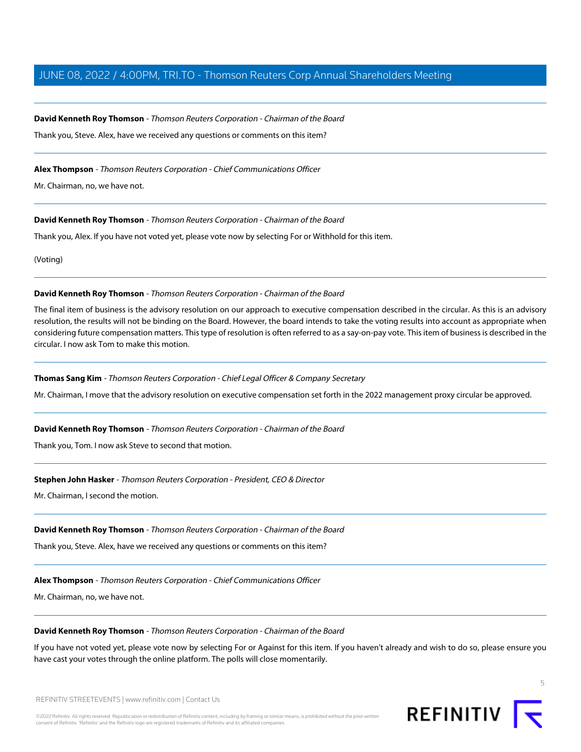#### **David Kenneth Roy Thomson** - Thomson Reuters Corporation - Chairman of the Board

Thank you, Steve. Alex, have we received any questions or comments on this item?

#### **Alex Thompson** - Thomson Reuters Corporation - Chief Communications Officer

Mr. Chairman, no, we have not.

#### **David Kenneth Roy Thomson** - Thomson Reuters Corporation - Chairman of the Board

Thank you, Alex. If you have not voted yet, please vote now by selecting For or Withhold for this item.

(Voting)

#### **David Kenneth Roy Thomson** - Thomson Reuters Corporation - Chairman of the Board

The final item of business is the advisory resolution on our approach to executive compensation described in the circular. As this is an advisory resolution, the results will not be binding on the Board. However, the board intends to take the voting results into account as appropriate when considering future compensation matters. This type of resolution is often referred to as a say-on-pay vote. This item of business is described in the circular. I now ask Tom to make this motion.

#### **Thomas Sang Kim** - Thomson Reuters Corporation - Chief Legal Officer & Company Secretary

Mr. Chairman, I move that the advisory resolution on executive compensation set forth in the 2022 management proxy circular be approved.

# **David Kenneth Roy Thomson** - Thomson Reuters Corporation - Chairman of the Board

Thank you, Tom. I now ask Steve to second that motion.

## **Stephen John Hasker** - Thomson Reuters Corporation - President, CEO & Director

Mr. Chairman, I second the motion.

#### **David Kenneth Roy Thomson** - Thomson Reuters Corporation - Chairman of the Board

Thank you, Steve. Alex, have we received any questions or comments on this item?

#### **Alex Thompson** - Thomson Reuters Corporation - Chief Communications Officer

Mr. Chairman, no, we have not.

#### **David Kenneth Roy Thomson** - Thomson Reuters Corporation - Chairman of the Board

If you have not voted yet, please vote now by selecting For or Against for this item. If you haven't already and wish to do so, please ensure you have cast your votes through the online platform. The polls will close momentarily.



REFINITIV STREETEVENTS | [www.refinitiv.com](https://www.refinitiv.com/) | [Contact Us](https://www.refinitiv.com/en/contact-us)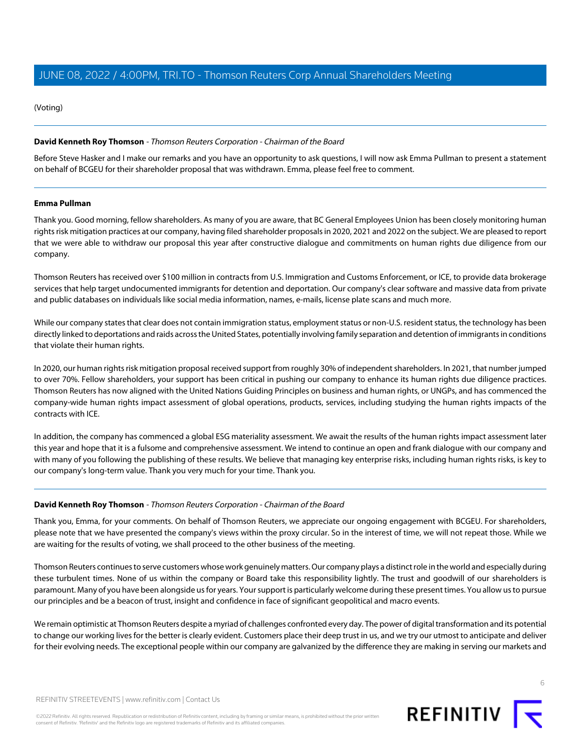(Voting)

# **David Kenneth Roy Thomson** - Thomson Reuters Corporation - Chairman of the Board

Before Steve Hasker and I make our remarks and you have an opportunity to ask questions, I will now ask Emma Pullman to present a statement on behalf of BCGEU for their shareholder proposal that was withdrawn. Emma, please feel free to comment.

# <span id="page-5-0"></span>**Emma Pullman**

Thank you. Good morning, fellow shareholders. As many of you are aware, that BC General Employees Union has been closely monitoring human rights risk mitigation practices at our company, having filed shareholder proposals in 2020, 2021 and 2022 on the subject. We are pleased to report that we were able to withdraw our proposal this year after constructive dialogue and commitments on human rights due diligence from our company.

Thomson Reuters has received over \$100 million in contracts from U.S. Immigration and Customs Enforcement, or ICE, to provide data brokerage services that help target undocumented immigrants for detention and deportation. Our company's clear software and massive data from private and public databases on individuals like social media information, names, e-mails, license plate scans and much more.

While our company states that clear does not contain immigration status, employment status or non-U.S. resident status, the technology has been directly linked to deportations and raids across the United States, potentially involving family separation and detention of immigrants in conditions that violate their human rights.

In 2020, our human rights risk mitigation proposal received support from roughly 30% of independent shareholders. In 2021, that number jumped to over 70%. Fellow shareholders, your support has been critical in pushing our company to enhance its human rights due diligence practices. Thomson Reuters has now aligned with the United Nations Guiding Principles on business and human rights, or UNGPs, and has commenced the company-wide human rights impact assessment of global operations, products, services, including studying the human rights impacts of the contracts with ICE.

In addition, the company has commenced a global ESG materiality assessment. We await the results of the human rights impact assessment later this year and hope that it is a fulsome and comprehensive assessment. We intend to continue an open and frank dialogue with our company and with many of you following the publishing of these results. We believe that managing key enterprise risks, including human rights risks, is key to our company's long-term value. Thank you very much for your time. Thank you.

# **David Kenneth Roy Thomson** - Thomson Reuters Corporation - Chairman of the Board

Thank you, Emma, for your comments. On behalf of Thomson Reuters, we appreciate our ongoing engagement with BCGEU. For shareholders, please note that we have presented the company's views within the proxy circular. So in the interest of time, we will not repeat those. While we are waiting for the results of voting, we shall proceed to the other business of the meeting.

Thomson Reuters continues to serve customers whose work genuinely matters. Our company plays a distinct role in the world and especially during these turbulent times. None of us within the company or Board take this responsibility lightly. The trust and goodwill of our shareholders is paramount. Many of you have been alongside us for years. Your support is particularly welcome during these present times. You allow us to pursue our principles and be a beacon of trust, insight and confidence in face of significant geopolitical and macro events.

We remain optimistic at Thomson Reuters despite a myriad of challenges confronted every day. The power of digital transformation and its potential to change our working lives for the better is clearly evident. Customers place their deep trust in us, and we try our utmost to anticipate and deliver for their evolving needs. The exceptional people within our company are galvanized by the difference they are making in serving our markets and

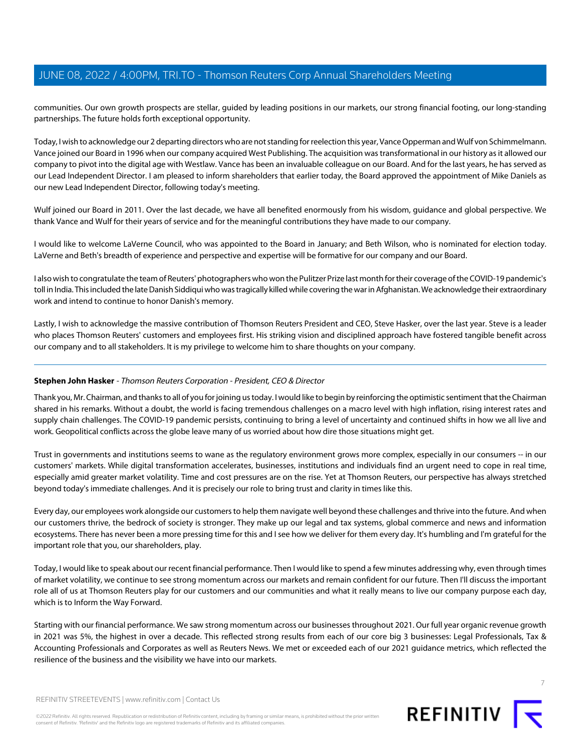communities. Our own growth prospects are stellar, guided by leading positions in our markets, our strong financial footing, our long-standing partnerships. The future holds forth exceptional opportunity.

Today, I wish to acknowledge our 2 departing directors who are not standing for reelection this year, Vance Opperman and Wulf von Schimmelmann. Vance joined our Board in 1996 when our company acquired West Publishing. The acquisition was transformational in our history as it allowed our company to pivot into the digital age with Westlaw. Vance has been an invaluable colleague on our Board. And for the last years, he has served as our Lead Independent Director. I am pleased to inform shareholders that earlier today, the Board approved the appointment of Mike Daniels as our new Lead Independent Director, following today's meeting.

Wulf joined our Board in 2011. Over the last decade, we have all benefited enormously from his wisdom, guidance and global perspective. We thank Vance and Wulf for their years of service and for the meaningful contributions they have made to our company.

I would like to welcome LaVerne Council, who was appointed to the Board in January; and Beth Wilson, who is nominated for election today. LaVerne and Beth's breadth of experience and perspective and expertise will be formative for our company and our Board.

I also wish to congratulate the team of Reuters' photographers who won the Pulitzer Prize last month for their coverage of the COVID-19 pandemic's toll in India. This included the late Danish Siddiqui who was tragically killed while covering the war in Afghanistan. We acknowledge their extraordinary work and intend to continue to honor Danish's memory.

Lastly, I wish to acknowledge the massive contribution of Thomson Reuters President and CEO, Steve Hasker, over the last year. Steve is a leader who places Thomson Reuters' customers and employees first. His striking vision and disciplined approach have fostered tangible benefit across our company and to all stakeholders. It is my privilege to welcome him to share thoughts on your company.

# **Stephen John Hasker** - Thomson Reuters Corporation - President, CEO & Director

Thank you, Mr. Chairman, and thanks to all of you for joining us today. I would like to begin by reinforcing the optimistic sentiment that the Chairman shared in his remarks. Without a doubt, the world is facing tremendous challenges on a macro level with high inflation, rising interest rates and supply chain challenges. The COVID-19 pandemic persists, continuing to bring a level of uncertainty and continued shifts in how we all live and work. Geopolitical conflicts across the globe leave many of us worried about how dire those situations might get.

Trust in governments and institutions seems to wane as the regulatory environment grows more complex, especially in our consumers -- in our customers' markets. While digital transformation accelerates, businesses, institutions and individuals find an urgent need to cope in real time, especially amid greater market volatility. Time and cost pressures are on the rise. Yet at Thomson Reuters, our perspective has always stretched beyond today's immediate challenges. And it is precisely our role to bring trust and clarity in times like this.

Every day, our employees work alongside our customers to help them navigate well beyond these challenges and thrive into the future. And when our customers thrive, the bedrock of society is stronger. They make up our legal and tax systems, global commerce and news and information ecosystems. There has never been a more pressing time for this and I see how we deliver for them every day. It's humbling and I'm grateful for the important role that you, our shareholders, play.

Today, I would like to speak about our recent financial performance. Then I would like to spend a few minutes addressing why, even through times of market volatility, we continue to see strong momentum across our markets and remain confident for our future. Then I'll discuss the important role all of us at Thomson Reuters play for our customers and our communities and what it really means to live our company purpose each day, which is to Inform the Way Forward.

Starting with our financial performance. We saw strong momentum across our businesses throughout 2021. Our full year organic revenue growth in 2021 was 5%, the highest in over a decade. This reflected strong results from each of our core big 3 businesses: Legal Professionals, Tax & Accounting Professionals and Corporates as well as Reuters News. We met or exceeded each of our 2021 guidance metrics, which reflected the resilience of the business and the visibility we have into our markets.



7

REFINITIV STREETEVENTS | [www.refinitiv.com](https://www.refinitiv.com/) | [Contact Us](https://www.refinitiv.com/en/contact-us)

©2022 Refinitiv. All rights reserved. Republication or redistribution of Refinitiv content, including by framing or similar means, is prohibited without the prior written consent of Refinitiv. 'Refinitiv' and the Refinitiv logo are registered trademarks of Refinitiv and its affiliated companies.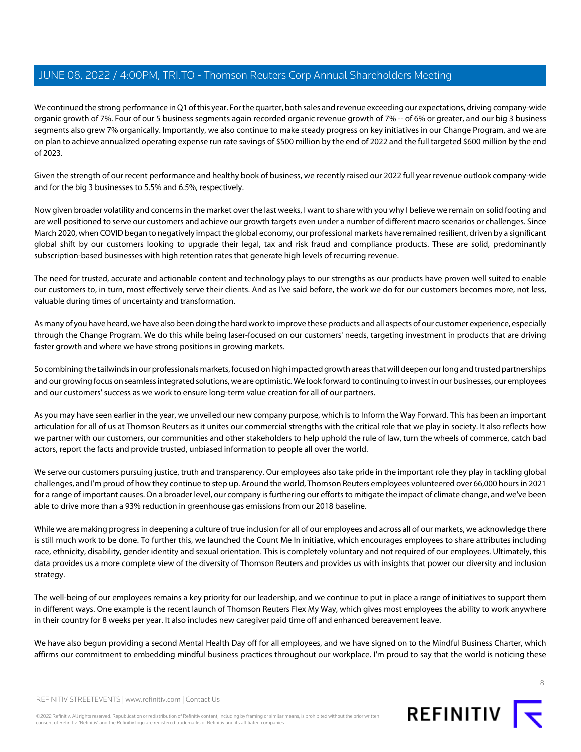We continued the strong performance in Q1 of this year. For the quarter, both sales and revenue exceeding our expectations, driving company-wide organic growth of 7%. Four of our 5 business segments again recorded organic revenue growth of 7% -- of 6% or greater, and our big 3 business segments also grew 7% organically. Importantly, we also continue to make steady progress on key initiatives in our Change Program, and we are on plan to achieve annualized operating expense run rate savings of \$500 million by the end of 2022 and the full targeted \$600 million by the end of 2023.

Given the strength of our recent performance and healthy book of business, we recently raised our 2022 full year revenue outlook company-wide and for the big 3 businesses to 5.5% and 6.5%, respectively.

Now given broader volatility and concerns in the market over the last weeks, I want to share with you why I believe we remain on solid footing and are well positioned to serve our customers and achieve our growth targets even under a number of different macro scenarios or challenges. Since March 2020, when COVID began to negatively impact the global economy, our professional markets have remained resilient, driven by a significant global shift by our customers looking to upgrade their legal, tax and risk fraud and compliance products. These are solid, predominantly subscription-based businesses with high retention rates that generate high levels of recurring revenue.

The need for trusted, accurate and actionable content and technology plays to our strengths as our products have proven well suited to enable our customers to, in turn, most effectively serve their clients. And as I've said before, the work we do for our customers becomes more, not less, valuable during times of uncertainty and transformation.

As many of you have heard, we have also been doing the hard work to improve these products and all aspects of our customer experience, especially through the Change Program. We do this while being laser-focused on our customers' needs, targeting investment in products that are driving faster growth and where we have strong positions in growing markets.

So combining the tailwinds in our professionals markets, focused on high impacted growth areas that will deepen our long and trusted partnerships and our growing focus on seamless integrated solutions, we are optimistic. We look forward to continuing to invest in our businesses, our employees and our customers' success as we work to ensure long-term value creation for all of our partners.

As you may have seen earlier in the year, we unveiled our new company purpose, which is to Inform the Way Forward. This has been an important articulation for all of us at Thomson Reuters as it unites our commercial strengths with the critical role that we play in society. It also reflects how we partner with our customers, our communities and other stakeholders to help uphold the rule of law, turn the wheels of commerce, catch bad actors, report the facts and provide trusted, unbiased information to people all over the world.

We serve our customers pursuing justice, truth and transparency. Our employees also take pride in the important role they play in tackling global challenges, and I'm proud of how they continue to step up. Around the world, Thomson Reuters employees volunteered over 66,000 hours in 2021 for a range of important causes. On a broader level, our company is furthering our efforts to mitigate the impact of climate change, and we've been able to drive more than a 93% reduction in greenhouse gas emissions from our 2018 baseline.

While we are making progress in deepening a culture of true inclusion for all of our employees and across all of our markets, we acknowledge there is still much work to be done. To further this, we launched the Count Me In initiative, which encourages employees to share attributes including race, ethnicity, disability, gender identity and sexual orientation. This is completely voluntary and not required of our employees. Ultimately, this data provides us a more complete view of the diversity of Thomson Reuters and provides us with insights that power our diversity and inclusion strategy.

The well-being of our employees remains a key priority for our leadership, and we continue to put in place a range of initiatives to support them in different ways. One example is the recent launch of Thomson Reuters Flex My Way, which gives most employees the ability to work anywhere in their country for 8 weeks per year. It also includes new caregiver paid time off and enhanced bereavement leave.

We have also begun providing a second Mental Health Day off for all employees, and we have signed on to the Mindful Business Charter, which affirms our commitment to embedding mindful business practices throughout our workplace. I'm proud to say that the world is noticing these



8

REFINITIV STREETEVENTS | [www.refinitiv.com](https://www.refinitiv.com/) | [Contact Us](https://www.refinitiv.com/en/contact-us)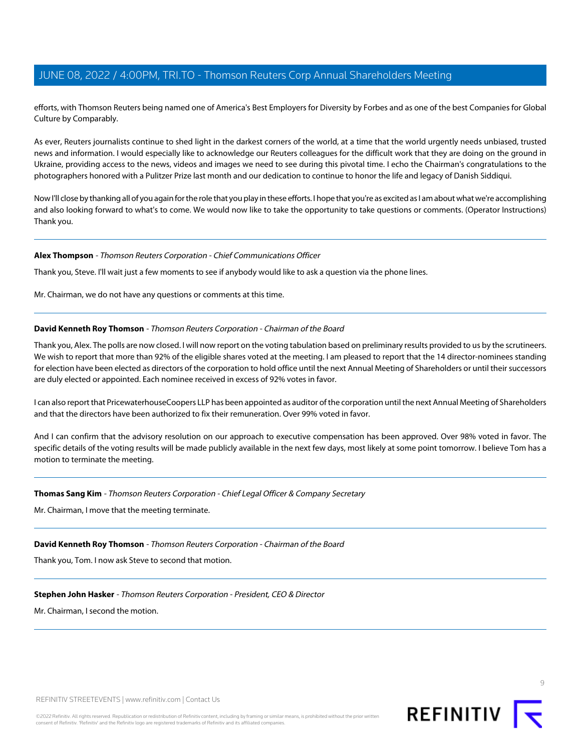efforts, with Thomson Reuters being named one of America's Best Employers for Diversity by Forbes and as one of the best Companies for Global Culture by Comparably.

As ever, Reuters journalists continue to shed light in the darkest corners of the world, at a time that the world urgently needs unbiased, trusted news and information. I would especially like to acknowledge our Reuters colleagues for the difficult work that they are doing on the ground in Ukraine, providing access to the news, videos and images we need to see during this pivotal time. I echo the Chairman's congratulations to the photographers honored with a Pulitzer Prize last month and our dedication to continue to honor the life and legacy of Danish Siddiqui.

Now I'll close by thanking all of you again for the role that you play in these efforts. I hope that you're as excited as I am about what we're accomplishing and also looking forward to what's to come. We would now like to take the opportunity to take questions or comments. (Operator Instructions) Thank you.

## **Alex Thompson** - Thomson Reuters Corporation - Chief Communications Officer

Thank you, Steve. I'll wait just a few moments to see if anybody would like to ask a question via the phone lines.

Mr. Chairman, we do not have any questions or comments at this time.

# **David Kenneth Roy Thomson** - Thomson Reuters Corporation - Chairman of the Board

Thank you, Alex. The polls are now closed. I will now report on the voting tabulation based on preliminary results provided to us by the scrutineers. We wish to report that more than 92% of the eligible shares voted at the meeting. I am pleased to report that the 14 director-nominees standing for election have been elected as directors of the corporation to hold office until the next Annual Meeting of Shareholders or until their successors are duly elected or appointed. Each nominee received in excess of 92% votes in favor.

I can also report that PricewaterhouseCoopers LLP has been appointed as auditor of the corporation until the next Annual Meeting of Shareholders and that the directors have been authorized to fix their remuneration. Over 99% voted in favor.

And I can confirm that the advisory resolution on our approach to executive compensation has been approved. Over 98% voted in favor. The specific details of the voting results will be made publicly available in the next few days, most likely at some point tomorrow. I believe Tom has a motion to terminate the meeting.

#### **Thomas Sang Kim** - Thomson Reuters Corporation - Chief Legal Officer & Company Secretary

Mr. Chairman, I move that the meeting terminate.

#### **David Kenneth Roy Thomson** - Thomson Reuters Corporation - Chairman of the Board

Thank you, Tom. I now ask Steve to second that motion.

#### **Stephen John Hasker** - Thomson Reuters Corporation - President, CEO & Director

Mr. Chairman, I second the motion.